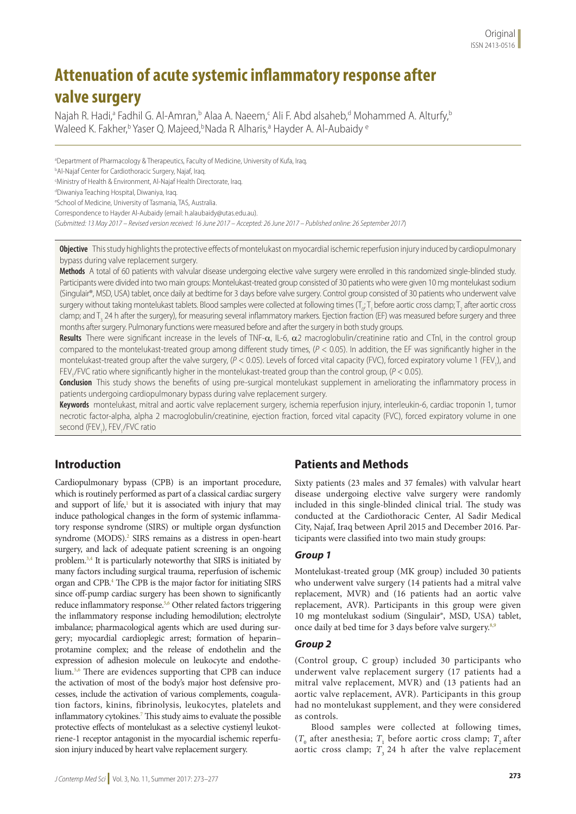# **Attenuation of acute systemic inflammatory response after valve surgery**

Najah R. Hadi,ª Fadhil G. Al-Amran,b Alaa A. Naeem,< Ali F. Abd alsaheb,<sup>d</sup> Mohammed A. Alturfy,<sup>b</sup> Waleed K. Fakher,<sup>b</sup> Yaser Q. Majeed,<sup>b</sup>Nada R Alharis,<sup>a</sup> Hayder A. Al-Aubaidy <sup>e</sup>

a Department of Pharmacology & Therapeutics, Faculty of Medicine, University of Kufa, Iraq.

b Al-Najaf Center for Cardiothoracic Surgery, Najaf, Iraq.

c Ministry of Health & Environment, Al-Najaf Health Directorate, Iraq.

d Diwaniya Teaching Hospital, Diwaniya, Iraq.

e School of Medicine, University of Tasmania, TAS, Australia.

Correspondence to Hayder Al-Aubaidy (email: h.alaubaidy@utas.edu.au).

(*Submitted: 13 May 2017 – Revised version received: 16 June 2017 – Accepted: 26 June 2017 – Published online: 26 September 2017*)

**Objective** This study highlights the protective effects of montelukast on myocardial ischemic reperfusion injury induced by cardiopulmonary bypass during valve replacement surgery.

**Methods** A total of 60 patients with valvular disease undergoing elective valve surgery were enrolled in this randomized single-blinded study. Participants were divided into two main groups: Montelukast-treated group consisted of 30 patients who were given 10 mg montelukast sodium (Singulair®, MSD, USA) tablet, once daily at bedtime for 3 days before valve surgery. Control group consisted of 30 patients who underwent valve surgery without taking montelukast tablets. Blood samples were collected at following times (T<sub>o</sub>; T<sub>1</sub> before aortic cross clamp; T<sub>2</sub> after aortic cross clamp; and T<sub>3</sub> 24 h after the surgery), for measuring several inflammatory markers. Ejection fraction (EF) was measured before surgery and three months after surgery. Pulmonary functions were measured before and after the surgery in both study groups.

Results There were significant increase in the levels of TNF-α, IL-6, α2 macroglobulin/creatinine ratio and CTnI, in the control group compared to the montelukast-treated group among different study times, (*P* < 0.05). In addition, the EF was significantly higher in the montelukast-treated group after the valve surgery, (P < 0.05). Levels of forced vital capacity (FVC), forced expiratory volume 1 (FEV<sub>1</sub>), and FEV<sub>1</sub>/FVC ratio where significantly higher in the montelukast-treated group than the control group, (*P* < 0.05).

**Conclusion** This study shows the benefits of using pre-surgical montelukast supplement in ameliorating the inflammatory process in patients undergoing cardiopulmonary bypass during valve replacement surgery.

**Keywords** montelukast, mitral and aortic valve replacement surgery, ischemia reperfusion injury, interleukin-6, cardiac troponin 1, tumor necrotic factor-alpha, alpha 2 macroglobulin/creatinine, ejection fraction, forced vital capacity (FVC), forced expiratory volume in one second (FEV<sub>1</sub>), FEV<sub>1</sub>/FVC ratio

# **Introduction**

Cardiopulmonary bypass (CPB) is an important procedure, which is routinely performed as part of a classical cardiac surgery and support of life,<sup>1</sup> but it is associated with injury that may induce pathological changes in the form of systemic inflammatory response syndrome (SIRS) or multiple organ dysfunction syndrome (MODS).<sup>2</sup> SIRS remains as a distress in open-heart surgery, and lack of adequate patient screening is an ongoing problem.<sup>3,4</sup> It is particularly noteworthy that SIRS is initiated by many factors including surgical trauma, reperfusion of ischemic organ and CPB.4 The CPB is the major factor for initiating SIRS since off-pump cardiac surgery has been shown to significantly reduce inflammatory response.<sup>5,6</sup> Other related factors triggering the inflammatory response including hemodilution; electrolyte imbalance; pharmacological agents which are used during surgery; myocardial cardioplegic arrest; formation of heparin– protamine complex; and the release of endothelin and the expression of adhesion molecule on leukocyte and endothelium.5,6 There are evidences supporting that CPB can induce the activation of most of the body's major host defensive processes, include the activation of various complements, coagulation factors, kinins, fibrinolysis, leukocytes, platelets and inflammatory cytokines.7 This study aims to evaluate the possible protective effects of montelukast as a selective cystienyl leukotriene-1 receptor antagonist in the myocardial ischemic reperfusion injury induced by heart valve replacement surgery.

# **Patients and Methods**

Sixty patients (23 males and 37 females) with valvular heart disease undergoing elective valve surgery were randomly included in this single-blinded clinical trial. The study was conducted at the Cardiothoracic Center, Al Sadir Medical City, Najaf, Iraq between April 2015 and December 2016. Participants were classified into two main study groups:

#### *Group 1*

Montelukast-treated group (MK group) included 30 patients who underwent valve surgery (14 patients had a mitral valve replacement, MVR) and (16 patients had an aortic valve replacement, AVR). Participants in this group were given 10 mg montelukast sodium (Singulair®, MSD, USA) tablet, once daily at bed time for 3 days before valve surgery.<sup>8,9</sup>

#### *Group 2*

(Control group, C group) included 30 participants who underwent valve replacement surgery (17 patients had a mitral valve replacement, MVR) and (13 patients had an aortic valve replacement, AVR). Participants in this group had no montelukast supplement, and they were considered as controls.

Blood samples were collected at following times,  $(T_0$  after anesthesia;  $T_1$  before aortic cross clamp;  $T_2$  after aortic cross clamp;  $T<sub>3</sub>$  24 h after the valve replacement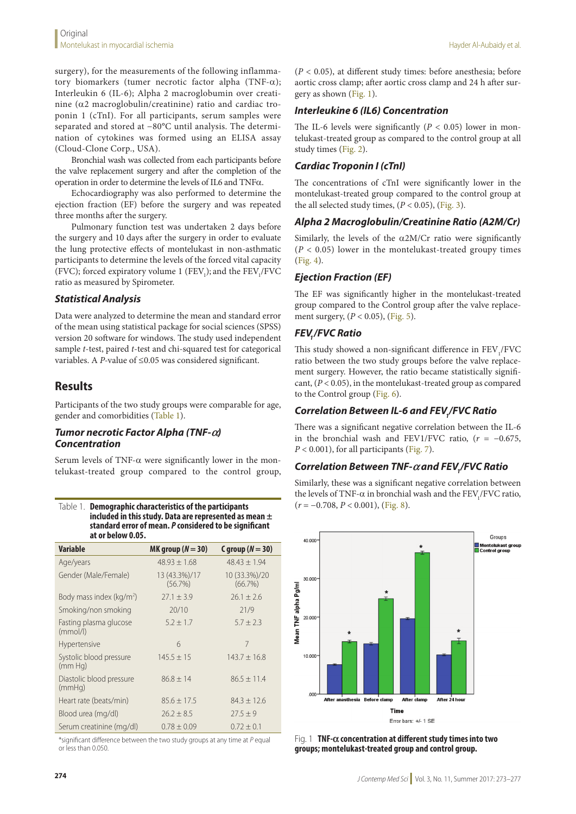surgery), for the measurements of the following inflammatory biomarkers (tumer necrotic factor alpha (TNF- $\alpha$ ); Interleukin 6 (IL-6); Alpha 2 macroglobumin over creatinine ( $\alpha$ 2 macroglobulin/creatinine) ratio and cardiac troponin 1 (cTnI). For all participants, serum samples were separated and stored at −80°C until analysis. The determination of cytokines was formed using an ELISA assay (Cloud-Clone Corp., USA).

Bronchial wash was collected from each participants before the valve replacement surgery and after the completion of the operation in order to determine the levels of IL6 and TNFa.

Echocardiography was also performed to determine the ejection fraction (EF) before the surgery and was repeated three months after the surgery.

Pulmonary function test was undertaken 2 days before the surgery and 10 days after the surgery in order to evaluate the lung protective effects of montelukast in non-asthmatic participants to determine the levels of the forced vital capacity (FVC); forced expiratory volume 1 ( $FEV<sub>1</sub>$ ); and the  $FEV<sub>1</sub>/FVC$ ratio as measured by Spirometer.

#### *Statistical Analysis*

Data were analyzed to determine the mean and standard error of the mean using statistical package for social sciences (SPSS) version 20 software for windows. The study used independent sample *t*-test, paired *t*-test and chi-squared test for categorical variables. A *P-*value of ≤0.05 was considered significant.

# **Results**

Participants of the two study groups were comparable for age, gender and comorbidities (Table 1).

#### *Tumor necrotic Factor Alpha (TNF-`) Concentration*

Serum levels of TNF- $\alpha$  were significantly lower in the montelukast-treated group compared to the control group,

| Table 1.                                               | Demographic characteristics of the participants            |  |
|--------------------------------------------------------|------------------------------------------------------------|--|
|                                                        | included in this study. Data are represented as mean $\pm$ |  |
| standard error of mean. P considered to be significant |                                                            |  |
|                                                        | at or below 0.05.                                          |  |

| Variable                            | MK group ( $N = 30$ )    | C group $(N = 30)$       |
|-------------------------------------|--------------------------|--------------------------|
| Age/years                           | $48.93 \pm 1.68$         | $48.43 \pm 1.94$         |
| Gender (Male/Female)                | 13 (43.3%)/17<br>(56.7%) | 10 (33.3%)/20<br>(66.7%) |
| Body mass index ( $\text{kg/m}^2$ ) | $27.1 \pm 3.9$           | $26.1 + 2.6$             |
| Smoking/non smoking                 | 20/10                    | 21/9                     |
| Fasting plasma glucose<br>(mmol/l)  | $5.2 \pm 1.7$            | $5.7 \pm 2.3$            |
| Hypertensive                        | 6                        | 7                        |
| Systolic blood pressure<br>(mm Hq)  | $145.5 \pm 15$           | $143.7 + 16.8$           |
| Diastolic blood pressure<br>(mmHq)  | $86.8 + 14$              | $86.5 \pm 11.4$          |
| Heart rate (beats/min)              | $85.6 \pm 17.5$          | $84.3 \pm 12.6$          |
| Blood urea (mg/dl)                  | $26.2 \pm 8.5$           | $27.5 \pm 9$             |
| Serum creatinine (mg/dl)            | $0.78 + 0.09$            | $0.72 \pm 0.1$           |

\*significant difference between the two study groups at any time at *P* equal or less than 0.050.

(*P* < 0.05), at different study times: before anesthesia; before aortic cross clamp; after aortic cross clamp and 24 h after surgery as shown (Fig. 1).

#### *Interleukine 6 (IL6) Concentration*

The IL-6 levels were significantly  $(P < 0.05)$  lower in montelukast-treated group as compared to the control group at all study times (Fig. 2).

### *Cardiac Troponin I (cTnI)*

The concentrations of cTnI were significantly lower in the montelukast-treated group compared to the control group at the all selected study times,  $(P < 0.05)$ ,  $(Fig. 3)$ .

#### *Alpha 2 Macroglobulin/Creatinine Ratio (A2M/Cr)*

Similarly, the levels of the  $\alpha$ 2M/Cr ratio were significantly  $(P < 0.05)$  lower in the montelukast-treated groupy times (Fig. 4).

## *Ejection Fraction (EF)*

The EF was significantly higher in the montelukast-treated group compared to the Control group after the valve replacement surgery, (*P* < 0.05), (Fig. 5).

## **FEV./FVC Ratio**

This study showed a non-significant difference in  $\rm{FEV_{1}/FVC}$ ratio between the two study groups before the valve replacement surgery. However, the ratio became statistically significant, (*P* < 0.05), in the montelukast-treated group as compared to the Control group (Fig. 6).

# *Correlation Between IL-6 and FEV1 /FVC Ratio*

There was a significant negative correlation between the IL-6 in the bronchial wash and FEV1/FVC ratio,  $(r = -0.675,$  $P < 0.001$ ), for all participants (Fig. 7).

# *Correlation Between TNF-` and FEV1 /FVC Ratio*

Similarly, these was a significant negative correlation between the levels of TNF- $\alpha$  in bronchial wash and the FEV,/FVC ratio,  $(r = -0.708, P < 0.001)$ , (Fig. 8).



Fig. 1 **TNF-` concentration at different study times into two groups; montelukast-treated group and control group.**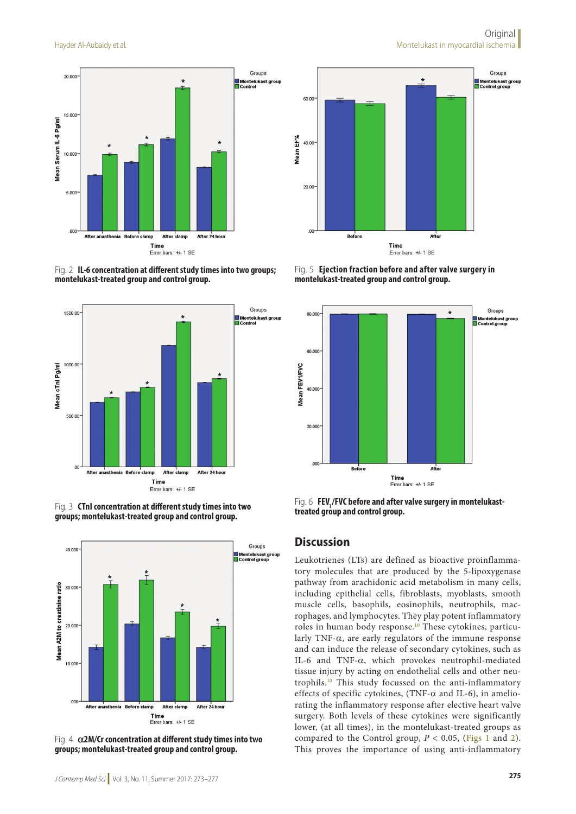

Error bars: +/- 1 SE









Fig. 4 **`2M/Cr concentration at different study times into two groups; montelukast-treated group and control group.**



Fig. 5 **Ejection fraction before and after valve surgery in montelukast-treated group and control group.**



**Fig. 6 FEV<sub>1</sub>/FVC before and after valve surgery in montelukasttreated group and control group.**

#### **Discussion**

Leukotrienes (LTs) are defined as bioactive proinflammatory molecules that are produced by the 5-lipoxygenase pathway from arachidonic acid metabolism in many cells, including epithelial cells, fibroblasts, myoblasts, smooth muscle cells, basophils, eosinophils, neutrophils, macrophages, and lymphocytes. They play potent inflammatory roles in human body response.10 These cytokines, particularly TNF- $\alpha$ , are early regulators of the immune response and can induce the release of secondary cytokines, such as IL-6 and TNF-a, which provokes neutrophil-mediated tissue injury by acting on endothelial cells and other neutrophils.10 This study focussed on the anti-inflammatory effects of specific cytokines, (TNF- $\alpha$  and IL-6), in ameliorating the inflammatory response after elective heart valve surgery. Both levels of these cytokines were significantly lower, (at all times), in the montelukast-treated groups as compared to the Control group,  $P < 0.05$ , (Figs 1 and 2). This proves the importance of using anti-inflammatory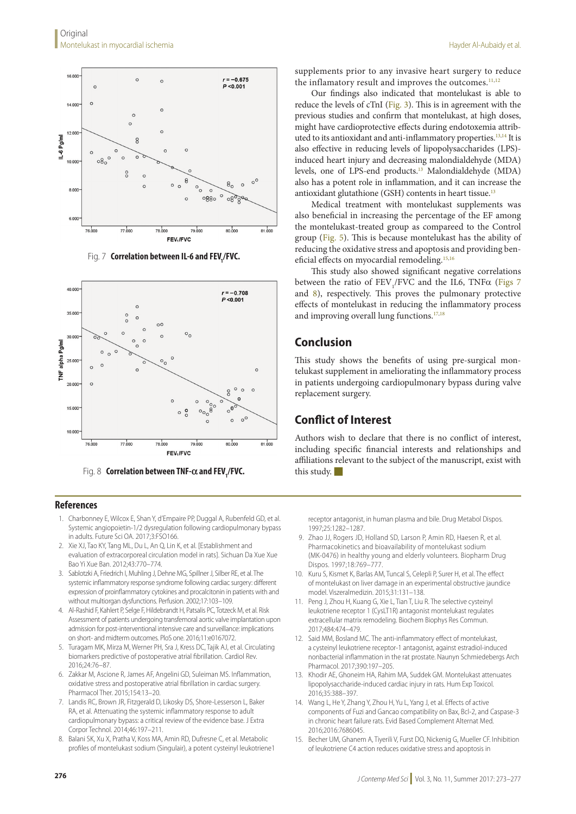

**Fig. 7 Correlation between IL-6 and FEV<sub>1</sub>/FVC.** 



**Fig. 8 Correlation between TNF-** $\alpha$  **and FEV<sub>1</sub>/FVC.** 

#### **References**

- 1. Charbonney E, Wilcox E, Shan Y, d'Empaire PP, Duggal A, Rubenfeld GD, et al. Systemic angiopoietin-1/2 dysregulation following cardiopulmonary bypass in adults. Future Sci OA. 2017;3:FSO166.
- 2. Xie XJ, Tao KY, Tang ML, Du L, An Q, Lin K, et al. [Establishment and evaluation of extracorporeal circulation model in rats]. Sichuan Da Xue Xue Bao Yi Xue Ban. 2012;43:770–774.
- 3. Sablotzki A, Friedrich I, Muhling J, Dehne MG, Spillner J, Silber RE, et al. The systemic inflammatory response syndrome following cardiac surgery: different expression of proinflammatory cytokines and procalcitonin in patients with and without multiorgan dysfunctions. Perfusion. 2002;17:103–109.
- 4. Al-Rashid F, Kahlert P, Selge F, Hildebrandt H, Patsalis PC, Totzeck M, et al. Risk Assessment of patients undergoing transfemoral aortic valve implantation upon admission for post-interventional intensive care and surveillance: implications on short- and midterm outcomes. PloS one. 2016;11:e0167072.
- 5. Turagam MK, Mirza M, Werner PH, Sra J, Kress DC, Tajik AJ, et al. Circulating biomarkers predictive of postoperative atrial fibrillation. Cardiol Rev. 2016;24:76–87.
- 6. Zakkar M, Ascione R, James AF, Angelini GD, Suleiman MS. Inflammation, oxidative stress and postoperative atrial fibrillation in cardiac surgery. Pharmacol Ther. 2015;154:13–20.
- 7. Landis RC, Brown JR, Fitzgerald D, Likosky DS, Shore-Lesserson L, Baker RA, et al. Attenuating the systemic inflammatory response to adult cardiopulmonary bypass: a critical review of the evidence base. J Extra Corpor Technol. 2014;46:197–211.
- 8. Balani SK, Xu X, Pratha V, Koss MA, Amin RD, Dufresne C, et al. Metabolic profiles of montelukast sodium (Singulair), a potent cysteinyl leukotriene1

Hayder Al-Aubaidy et al.

supplements prior to any invasive heart surgery to reduce the inflamatory result and improves the outcomes.<sup>11,12</sup>

Our findings also indicated that montelukast is able to reduce the levels of cTnI (Fig. 3). This is in agreement with the previous studies and confirm that montelukast, at high doses, might have cardioprotective effects during endotoxemia attributed to its antioxidant and anti-inflammatory properties.<sup>13,14</sup> It is also effective in reducing levels of lipopolysaccharides (LPS) induced heart injury and decreasing malondialdehyde (MDA) levels, one of LPS-end products.13 Malondialdehyde (MDA) also has a potent role in inflammation, and it can increase the antioxidant glutathione (GSH) contents in heart tissue.<sup>13</sup>

Medical treatment with montelukast supplements was also beneficial in increasing the percentage of the EF among the montelukast-treated group as compareed to the Control group (Fig. 5). This is because montelukast has the ability of reducing the oxidative stress and apoptosis and providing beneficial effects on myocardial remodeling.15,16

This study also showed significant negative correlations between the ratio of  $\text{FEV}_1/\text{FVC}$  and the IL6, TNF $\alpha$  (Figs 7 and 8), respectively. This proves the pulmonary protective effects of montelukast in reducing the inflammatory process and improving overall lung functions.<sup>17,18</sup>

#### **Conclusion**

This study shows the benefits of using pre-surgical montelukast supplement in ameliorating the inflammatory process in patients undergoing cardiopulmonary bypass during valve replacement surgery.

## **Conflict of Interest**

Authors wish to declare that there is no conflict of interest, including specific financial interests and relationships and affiliations relevant to the subject of the manuscript, exist with this study.  $\blacksquare$ 

receptor antagonist, in human plasma and bile. Drug Metabol Dispos. 1997;25:1282–1287.

- 9. Zhao JJ, Rogers JD, Holland SD, Larson P, Amin RD, Haesen R, et al. Pharmacokinetics and bioavailability of montelukast sodium (MK-0476) in healthy young and elderly volunteers. Biopharm Drug Dispos. 1997;18:769–777.
- 10. Kuru S, Kismet K, Barlas AM, Tuncal S, Celepli P, Surer H, et al. The effect of montelukast on liver damage in an experimental obstructive jaundice model. Viszeralmedizin. 2015;31:131–138.
- Peng J, Zhou H, Kuang G, Xie L, Tian T, Liu R. The selective cysteinyl leukotriene receptor 1 (CysLT1R) antagonist montelukast regulates extracellular matrix remodeling. Biochem Biophys Res Commun. 2017;484:474–479.
- 12. Said MM, Bosland MC. The anti-inflammatory effect of montelukast, a cysteinyl leukotriene receptor-1 antagonist, against estradiol-induced nonbacterial inflammation in the rat prostate. Naunyn Schmiedebergs Arch Pharmacol. 2017;390:197–205.
- 13. Khodir AE, Ghoneim HA, Rahim MA, Suddek GM. Montelukast attenuates lipopolysaccharide-induced cardiac injury in rats. Hum Exp Toxicol. 2016;35:388–397.
- 14. Wang L, He Y, Zhang Y, Zhou H, Yu L, Yang J, et al. Effects of active components of Fuzi and Gancao compatibility on Bax, Bcl-2, and Caspase-3 in chronic heart failure rats. Evid Based Complement Alternat Med. 2016;2016:7686045.
- 15. Becher UM, Ghanem A, Tiyerili V, Furst DO, Nickenig G, Mueller CF. Inhibition of leukotriene C4 action reduces oxidative stress and apoptosis in